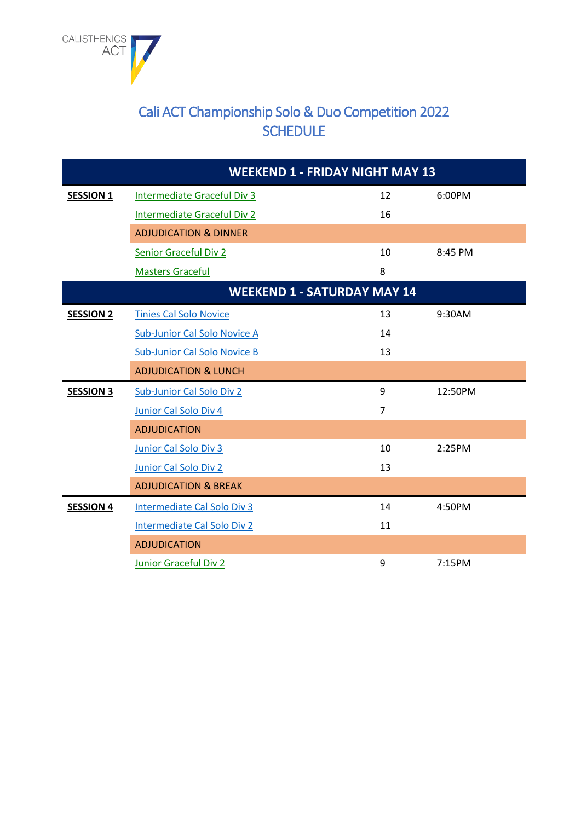

## Cali ACT Championship Solo & Duo Competition 2022 **SCHEDULE**

|                  | <b>WEEKEND 1 - FRIDAY NIGHT MAY 13</b> |                |         |
|------------------|----------------------------------------|----------------|---------|
| <b>SESSION 1</b> | <b>Intermediate Graceful Div 3</b>     | 12             | 6:00PM  |
|                  | <b>Intermediate Graceful Div 2</b>     | 16             |         |
|                  | <b>ADJUDICATION &amp; DINNER</b>       |                |         |
|                  | <b>Senior Graceful Div 2</b>           | 10             | 8:45 PM |
|                  | <b>Masters Graceful</b>                | 8              |         |
|                  | <b>WEEKEND 1 - SATURDAY MAY 14</b>     |                |         |
| <b>SESSION 2</b> | <b>Tinies Cal Solo Novice</b>          | 13             | 9:30AM  |
|                  | Sub-Junior Cal Solo Novice A           | 14             |         |
|                  | <b>Sub-Junior Cal Solo Novice B</b>    | 13             |         |
|                  | <b>ADJUDICATION &amp; LUNCH</b>        |                |         |
| <b>SESSION 3</b> | Sub-Junior Cal Solo Div 2              | 9              | 12:50PM |
|                  | Junior Cal Solo Div 4                  | $\overline{7}$ |         |
|                  | <b>ADJUDICATION</b>                    |                |         |
|                  | Junior Cal Solo Div 3                  | 10             | 2:25PM  |
|                  | Junior Cal Solo Div 2                  | 13             |         |
|                  | <b>ADJUDICATION &amp; BREAK</b>        |                |         |
| <b>SESSION 4</b> | Intermediate Cal Solo Div 3            | 14             | 4:50PM  |
|                  | Intermediate Cal Solo Div 2            | 11             |         |
|                  | <b>ADJUDICATION</b>                    |                |         |
|                  | Junior Graceful Div 2                  | 9              | 7:15PM  |